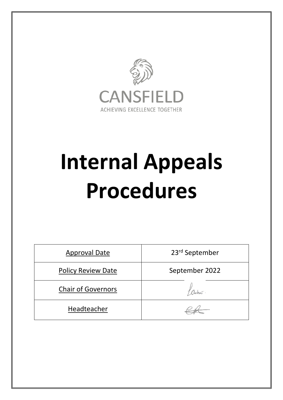

# **Internal Appeals Procedures**

| <b>Approval Date</b>      | 23rd September |  |
|---------------------------|----------------|--|
| <b>Policy Review Date</b> | September 2022 |  |
| <b>Chair of Governors</b> |                |  |
| Headteacher               |                |  |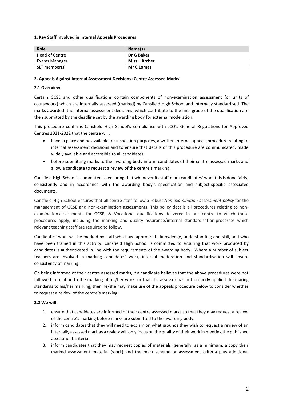#### **1. Key Staff Involved in Internal Appeals Procedures**

| Role           | Name(s)              |
|----------------|----------------------|
| Head of Centre | Dr G Baker           |
| Exams Manager  | <b>Miss L Archer</b> |
| SLT member(s)  | <b>Mr C Lomas</b>    |

#### **2. Appeals Against Internal Assessment Decisions (Centre Assessed Marks)**

## **2.1 Overview**

Certain GCSE and other qualifications contain components of non-examination assessment (or units of coursework) which are internally assessed (marked) by Cansfield High School and internally standardised. The marks awarded (the internal assessment decisions) which contribute to the final grade of the qualification are then submitted by the deadline set by the awarding body for external moderation.

This procedure confirms Cansfield High School's compliance with JCQ's General Regulations for Approved Centres 2021-2022 that the centre will:

- have in place and be available for inspection purposes, a written internal appeals procedure relating to internal assessment decisions and to ensure that details of this procedure are communicated, made widely available and accessible to all candidates
- before submitting marks to the awarding body inform candidates of their centre assessed marks and allow a candidate to request a review of the centre's marking

Cansfield High School is committed to ensuring that whenever its staff mark candidates' work this is done fairly, consistently and in accordance with the awarding body's specification and subject-specific associated documents.

Cansfield High School ensures that all centre staff follow a robust *Non-examination assessment policy* for the management of GCSE and non-examination assessments. This policy details all procedures relating to nonexamination assessments for GCSE, & Vocational qualifications delivered in our centre to which these procedures apply, including the marking and quality assurance/internal standardisation processes which relevant teaching staff are required to follow.

Candidates' work will be marked by staff who have appropriate knowledge, understanding and skill, and who have been trained in this activity. Cansfield High School is committed to ensuring that work produced by candidates is authenticated in line with the requirements of the awarding body. Where a number of subject teachers are involved in marking candidates' work, internal moderation and standardisation will ensure consistency of marking.

On being informed of their centre assessed marks, if a candidate believes that the above procedures were not followed in relation to the marking of his/her work, or that the assessor has not properly applied the maring standards to his/her marking, then he/she may make use of the appeals procedure below to consider whether to request a review of the centre's marking.

#### **2.2 We will**:

- 1. ensure that candidates are informed of their centre assessed marks so that they may request a review of the centre's marking before marks are submitted to the awarding body.
- 2. inform candidates that they will need to explain on what grounds they wish to request a review of an internally assessed mark as a review will only focus on the quality of their work in meeting the published assessment criteria
- 3. inform candidates that they may request copies of materials (generally, as a minimum, a copy their marked assessment material (work) and the mark scheme or assessment criteria plus additional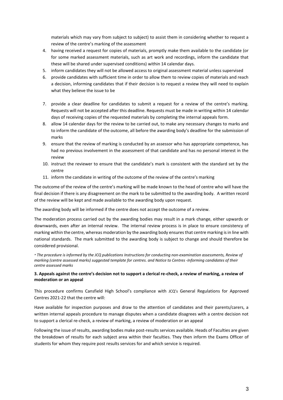materials which may vary from subject to subject) to assist them in considering whether to request a review of the centre's marking of the assessment

- 4. having received a request for copies of materials, promptly make them available to the candidate (or for some marked assessment materials, such as art work and recordings, inform the candidate that these will be shared under supervised conditions) within 14 calendar days.
- 5. inform candidates they will not be allowed access to original assessment material unless supervised
- 6. provide candidates with sufficient time in order to allow them to review copies of materials and reach a decision, informing candidates that if their decision is to request a review they will need to explain what they believe the issue to be
- 7. provide a clear deadline for candidates to submit a request for a review of the centre's marking. Requests will not be accepted after this deadline. Requests must be made in writing within 14 calendar days of receiving copies of the requested materials by completing the internal appeals form.
- 8. allow 14 calendar days for the review to be carried out, to make any necessary changes to marks and to inform the candidate of the outcome, all before the awarding body's deadline for the submission of marks
- 9. ensure that the review of marking is conducted by an assessor who has appropriate competence, has had no previous involvement in the assessment of that candidate and has no personal interest in the review
- 10. instruct the reviewer to ensure that the candidate's mark is consistent with the standard set by the centre
- 11. inform the candidate in writing of the outcome of the review of the centre's marking

The outcome of the review of the centre's marking will be made known to the head of centre who will have the final decision if there is any disagreement on the mark to be submitted to the awarding body. A written record of the review will be kept and made available to the awarding body upon request.

The awarding body will be informed if the centre does not accept the outcome of a review.

The moderation process carried out by the awarding bodies may result in a mark change, either upwards or downwards, even after an internal review. The internal review process is in place to ensure consistency of marking within the centre, whereas moderation by the awarding body ensures that centre marking is in line with national standards. The mark submitted to the awarding body is subject to change and should therefore be considered provisional.

*\* The procedure is informed by the JCQ publication[s Instructions for conducting non-examination assessments, Review of](https://www.jcq.org.uk/exams-office/non-examination-assessments)  [marking \(centre assessed marks\) suggested template for centres.](https://www.jcq.org.uk/exams-office/non-examination-assessments) and [Notice to Centres -Informing candidates of their](https://www.jcq.org.uk/exams-office/non-examination-assessments)  [centre assessed marks](https://www.jcq.org.uk/exams-office/non-examination-assessments)*

## **3. Appeals against the centre's decision not to support a clerical re-check, a review of marking, a review of moderation or an appeal**

This procedure confirms Cansfield High School's compliance with JCQ's General Regulations for Approved Centres 2021-22 that the centre will:

Have available for inspection purposes and draw to the attention of candidates and their parents/carers, a written internal appeals procedure to manage disputes when a candidate disagrees with a centre decision not to support a clerical re-check, a review of marking, a review of moderation or an appeal

Following the issue of results, awarding bodies make post-results services available. Heads of Faculties are given the breakdown of results for each subject area within their faculties. They then inform the Exams Officer of students for whom they require post results services for and which service is required.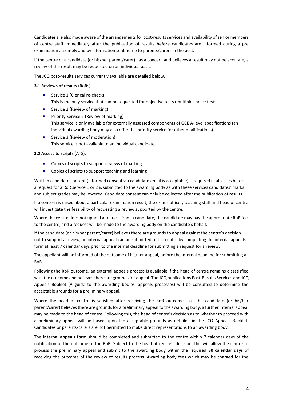Candidates are also made aware of the arrangements for post-results services and availability of senior members of centre staff immediately after the publication of results **before** candidates are informed during a pre examination assembly and by information sent home to parents/carers in the post.

If the centre or a candidate (or his/her parent/carer) has a concern and believes a result may not be accurate, a review of the result may be requested on an individual basis.

The JCQ post-results services currently available are detailed below.

## **3.1 Reviews of results** (RoRs):

- **Service 1 (Clerical re-check)** This is the only service that can be requested for objective tests (multiple choice tests)
- Service 2 (Review of marking)
- Priority Service 2 (Review of marking) This service is only available for externally assessed components of GCE A-level specifications (an individual awarding body may also offer this priority service for other qualifications)
- Service 3 (Review of moderation) This service is not available to an individual candidate

# **3.2 Access to scripts** (ATS):

- Copies of scripts to support reviews of marking
- Copies of scripts to support teaching and learning

Written candidate consent (informed consent via candidate email is acceptable) is required in all cases before a request for a RoR service 1 or 2 is submitted to the awarding body as with these services candidates' marks and subject grades may be lowered. Candidate consent can only be collected after the publication of results.

If a concern is raised about a particular examination result, the exams officer, teaching staff and head of centre will investigate the feasibility of requesting a review supported by the centre.

Where the centre does not uphold a request from a candidate, the candidate may pay the appropriate RoR fee to the centre, and a request will be made to the awarding body on the candidate's behalf.

If the candidate (or his/her parent/carer) believes there are grounds to appeal against the centre's decision not to support a review, an internal appeal can be submitted to the centre by completing the internal appeals form at least 7 calendar days prior to the internal deadline for submitting a request for a review.

The appellant will be informed of the outcome of his/her appeal, before the internal deadline for submitting a RoR.

Following the RoR outcome, an external appeals process is available if the head of centre remains dissatisfied with the outcome and believes there are grounds for appeal. The JCQ publications Post-Results Services and JCQ Appeals Booklet (A guide to the awarding bodies' appeals processes) will be consulted to determine the acceptable grounds for a preliminary appeal.

Where the head of centre is satisfied after receiving the RoR outcome, but the candidate (or his/her parent/carer) believes there are grounds for a preliminary appeal to the awarding body, a further internal appeal may be made to the head of centre. Following this, the head of centre's decision as to whether to proceed with a preliminary appeal will be based upon the acceptable grounds as detailed in the JCQ Appeals Booklet. Candidates or parents/carers are not permitted to make direct representations to an awarding body.

The **internal appeals form** should be completed and submitted to the centre within 7 calendar days of the notification of the outcome of the RoR. Subject to the head of centre's decision, this will allow the centre to process the preliminary appeal and submit to the awarding body within the required **30 calendar days** of receiving the outcome of the review of results process. Awarding body fees which may be charged for the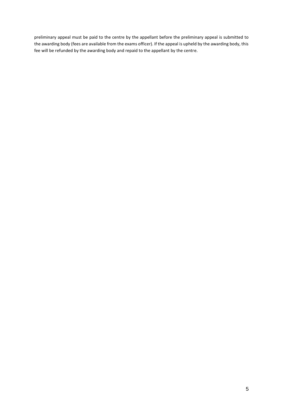preliminary appeal must be paid to the centre by the appellant before the preliminary appeal is submitted to the awarding body (fees are available from the exams officer). If the appeal is upheld by the awarding body, this fee will be refunded by the awarding body and repaid to the appellant by the centre.